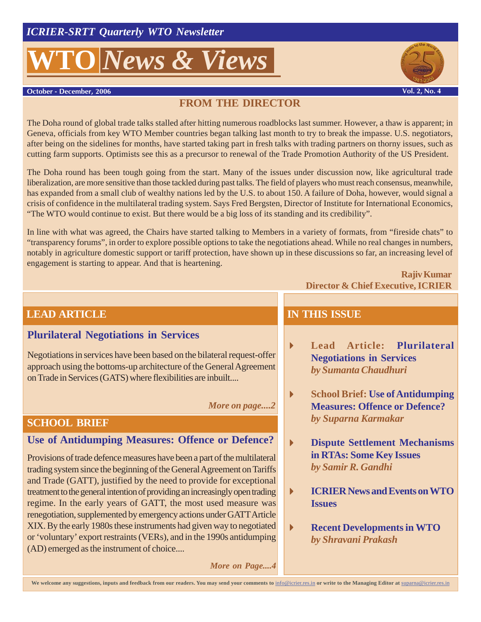# **D** *News* & *Views*



**October - December, 2006** 

## **FROM THE DIRECTOR**

The Doha round of global trade talks stalled after hitting numerous roadblocks last summer. However, a thaw is apparent; in Geneva, officials from key WTO Member countries began talking last month to try to break the impasse. U.S. negotiators, after being on the sidelines for months, have started taking part in fresh talks with trading partners on thorny issues, such as cutting farm supports. Optimists see this as a precursor to renewal of the Trade Promotion Authority of the US President.

The Doha round has been tough going from the start. Many of the issues under discussion now, like agricultural trade liberalization, are more sensitive than those tackled during past talks. The field of players who must reach consensus, meanwhile, has expanded from a small club of wealthy nations led by the U.S. to about 150. A failure of Doha, however, would signal a crisis of confidence in the multilateral trading system. Says Fred Bergsten, Director of Institute for International Economics, "The WTO would continue to exist. But there would be a big loss of its standing and its credibility".

In line with what was agreed, the Chairs have started talking to Members in a variety of formats, from "fireside chats" to "transparency forums", in order to explore possible options to take the negotiations ahead. While no real changes in numbers, notably in agriculture domestic support or tariff protection, have shown up in these discussions so far, an increasing level of engagement is starting to appear. And that is heartening.

#### **Rajiv Kumar Director & Chief Executive, ICRIER**

## **LEAD ARTICLE**

#### **Plurilateral Negotiations in Services**

Negotiations in services have been based on the bilateral request-offer approach using the bottoms-up architecture of the General Agreement on Trade in Services (GATS) where flexibilities are inbuilt....

*More on page....2*

#### **SCHOOL BRIEF**

### **Use of Antidumping Measures: Offence or Defence?**

Provisions of trade defence measures have been a part of the multilateral trading system since the beginning of the General Agreement on Tariffs and Trade (GATT), justified by the need to provide for exceptional treatment to the general intention of providing an increasingly open trading regime. In the early years of GATT, the most used measure was renegotiation, supplemented by emergency actions under GATT Article XIX. By the early 1980s these instruments had given way to negotiated or 'voluntary' export restraints (VERs), and in the 1990s antidumping (AD) emerged as the instrument of choice....

**IN THIS ISSUE**

- **Lead Article: Plurilateral Negotiations in Services** *by Sumanta Chaudhuri*
- **School Brief: Use of Antidumping Measures: Offence or Defence?** *by Suparna Karmakar*
- **Dispute Settlement Mechanisms in RTAs: Some Key Issues** *by Samir R. Gandhi*
- **ICRIER News and Events on WTO Issues**
- **Recent Developments in WTO** *by Shravani Prakash*

*More on Page....4*

We welcome any suggestions, inputs and feedback from our readers. You may send your comments to info@icrier.res.in or write to the Managing Editor at suparna@icrier.res.in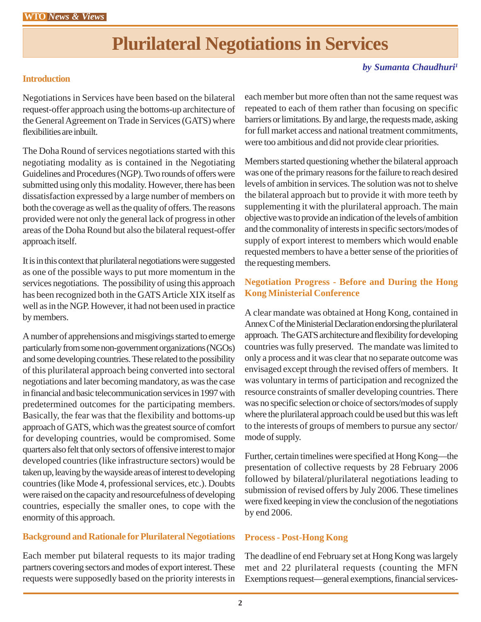# **Plurilateral Negotiations in Services**

#### *by Sumanta Chaudhuri1*

#### **Introduction**

Negotiations in Services have been based on the bilateral request-offer approach using the bottoms-up architecture of the General Agreement on Trade in Services (GATS) where flexibilities are inbuilt.

The Doha Round of services negotiations started with this negotiating modality as is contained in the Negotiating Guidelines and Procedures (NGP). Two rounds of offers were submitted using only this modality. However, there has been dissatisfaction expressed by a large number of members on both the coverage as well as the quality of offers. The reasons provided were not only the general lack of progress in other areas of the Doha Round but also the bilateral request-offer approach itself.

It is in this context that plurilateral negotiations were suggested as one of the possible ways to put more momentum in the services negotiations. The possibility of using this approach has been recognized both in the GATS Article XIX itself as well as in the NGP. However, it had not been used in practice by members.

A number of apprehensions and misgivings started to emerge particularly from some non-government organizations (NGOs) and some developing countries. These related to the possibility of this plurilateral approach being converted into sectoral negotiations and later becoming mandatory, as was the case in financial and basic telecommunication services in 1997 with predetermined outcomes for the participating members. Basically, the fear was that the flexibility and bottoms-up approach of GATS, which was the greatest source of comfort for developing countries, would be compromised. Some quarters also felt that only sectors of offensive interest to major developed countries (like infrastructure sectors) would be taken up, leaving by the wayside areas of interest to developing countries (like Mode 4, professional services, etc.). Doubts were raised on the capacity and resourcefulness of developing countries, especially the smaller ones, to cope with the enormity of this approach.

#### **Background and Rationale for Plurilateral Negotiations**

Each member put bilateral requests to its major trading partners covering sectors and modes of export interest. These requests were supposedly based on the priority interests in

each member but more often than not the same request was repeated to each of them rather than focusing on specific barriers or limitations. By and large, the requests made, asking for full market access and national treatment commitments, were too ambitious and did not provide clear priorities.

Members started questioning whether the bilateral approach was one of the primary reasons for the failure to reach desired levels of ambition in services. The solution was not to shelve the bilateral approach but to provide it with more teeth by supplementing it with the plurilateral approach. The main objective was to provide an indication of the levels of ambition and the commonality of interests in specific sectors/modes of supply of export interest to members which would enable requested members to have a better sense of the priorities of the requesting members.

#### **Negotiation Progress - Before and During the Hong Kong Ministerial Conference**

A clear mandate was obtained at Hong Kong, contained in Annex C of the Ministerial Declaration endorsing the plurilateral approach. The GATS architecture and flexibility for developing countries was fully preserved. The mandate was limited to only a process and it was clear that no separate outcome was envisaged except through the revised offers of members. It was voluntary in terms of participation and recognized the resource constraints of smaller developing countries. There was no specific selection or choice of sectors/modes of supply where the plurilateral approach could be used but this was left to the interests of groups of members to pursue any sector/ mode of supply.

Further, certain timelines were specified at Hong Kong—the presentation of collective requests by 28 February 2006 followed by bilateral/plurilateral negotiations leading to submission of revised offers by July 2006. These timelines were fixed keeping in view the conclusion of the negotiations by end 2006.

#### **Process - Post-Hong Kong**

The deadline of end February set at Hong Kong was largely met and 22 plurilateral requests (counting the MFN Exemptions request—general exemptions, financial services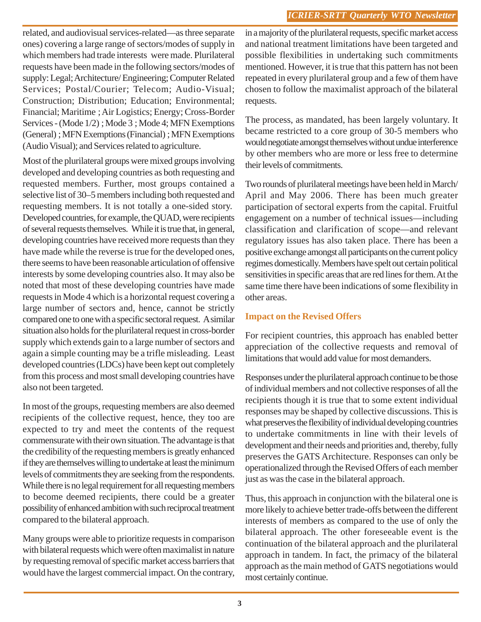related, and audiovisual services-related—as three separate ones) covering a large range of sectors/modes of supply in which members had trade interests were made. Plurilateral requests have been made in the following sectors/modes of supply: Legal; Architecture/ Engineering; Computer Related Services; Postal/Courier; Telecom; Audio-Visual; Construction; Distribution; Education; Environmental; Financial; Maritime ; Air Logistics; Energy; Cross-Border Services - (Mode 1/2) ; Mode 3 ; Mode 4; MFN Exemptions (General) ; MFN Exemptions (Financial) ; MFN Exemptions (Audio Visual); and Services related to agriculture.

Most of the plurilateral groups were mixed groups involving developed and developing countries as both requesting and requested members. Further, most groups contained a selective list of 30–5 members including both requested and requesting members. It is not totally a one-sided story. Developed countries, for example, the QUAD, were recipients of several requests themselves. While it is true that, in general, developing countries have received more requests than they have made while the reverse is true for the developed ones, there seems to have been reasonable articulation of offensive interests by some developing countries also. It may also be noted that most of these developing countries have made requests in Mode 4 which is a horizontal request covering a large number of sectors and, hence, cannot be strictly compared one to one with a specific sectoral request. A similar situation also holds for the plurilateral request in cross-border supply which extends gain to a large number of sectors and again a simple counting may be a trifle misleading. Least developed countries (LDCs) have been kept out completely from this process and most small developing countries have also not been targeted.

In most of the groups, requesting members are also deemed recipients of the collective request, hence, they too are expected to try and meet the contents of the request commensurate with their own situation. The advantage is that the credibility of the requesting members is greatly enhanced if they are themselves willing to undertake at least the minimum levels of commitments they are seeking from the respondents. While there is no legal requirement for all requesting members to become deemed recipients, there could be a greater possibility of enhanced ambition with such reciprocal treatment compared to the bilateral approach.

Many groups were able to prioritize requests in comparison with bilateral requests which were often maximalist in nature by requesting removal of specific market access barriers that would have the largest commercial impact. On the contrary, in a majority of the plurilateral requests, specific market access and national treatment limitations have been targeted and possible flexibilities in undertaking such commitments mentioned. However, it is true that this pattern has not been repeated in every plurilateral group and a few of them have chosen to follow the maximalist approach of the bilateral requests.

The process, as mandated, has been largely voluntary. It became restricted to a core group of 30-5 members who would negotiate amongst themselves without undue interference by other members who are more or less free to determine their levels of commitments.

Two rounds of plurilateral meetings have been held in March/ April and May 2006. There has been much greater participation of sectoral experts from the capital. Fruitful engagement on a number of technical issues—including classification and clarification of scope—and relevant regulatory issues has also taken place. There has been a positive exchange amongst all participants on the current policy regimes domestically. Members have spelt out certain political sensitivities in specific areas that are red lines for them. At the same time there have been indications of some flexibility in other areas.

#### **Impact on the Revised Offers**

For recipient countries, this approach has enabled better appreciation of the collective requests and removal of limitations that would add value for most demanders.

Responses under the plurilateral approach continue to be those of individual members and not collective responses of all the recipients though it is true that to some extent individual responses may be shaped by collective discussions. This is what preserves the flexibility of individual developing countries to undertake commitments in line with their levels of development and their needs and priorities and, thereby, fully preserves the GATS Architecture. Responses can only be operationalized through the Revised Offers of each member just as was the case in the bilateral approach.

Thus, this approach in conjunction with the bilateral one is more likely to achieve better trade-offs between the different interests of members as compared to the use of only the bilateral approach. The other foreseeable event is the continuation of the bilateral approach and the plurilateral approach in tandem. In fact, the primacy of the bilateral approach as the main method of GATS negotiations would most certainly continue.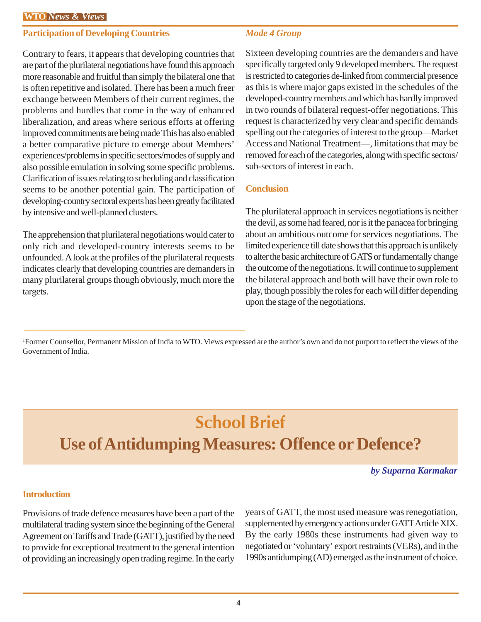#### **Participation of Developing Countries**

Contrary to fears, it appears that developing countries that are part of the plurilateral negotiations have found this approach more reasonable and fruitful than simply the bilateral one that is often repetitive and isolated. There has been a much freer exchange between Members of their current regimes, the problems and hurdles that come in the way of enhanced liberalization, and areas where serious efforts at offering improved commitments are being made This has also enabled a better comparative picture to emerge about Members' experiences/problems in specific sectors/modes of supply and also possible emulation in solving some specific problems. Clarification of issues relating to scheduling and classification seems to be another potential gain. The participation of developing-country sectoral experts has been greatly facilitated by intensive and well-planned clusters.

The apprehension that plurilateral negotiations would cater to only rich and developed-country interests seems to be unfounded. A look at the profiles of the plurilateral requests indicates clearly that developing countries are demanders in many plurilateral groups though obviously, much more the targets.

#### *Mode 4 Group*

Sixteen developing countries are the demanders and have specifically targeted only 9 developed members. The request is restricted to categories de-linked from commercial presence as this is where major gaps existed in the schedules of the developed-country members and which has hardly improved in two rounds of bilateral request-offer negotiations. This request is characterized by very clear and specific demands spelling out the categories of interest to the group—Market Access and National Treatment—, limitations that may be removed for each of the categories, along with specific sectors/ sub-sectors of interest in each.

#### **Conclusion**

The plurilateral approach in services negotiations is neither the devil, as some had feared, nor is it the panacea for bringing about an ambitious outcome for services negotiations. The limited experience till date shows that this approach is unlikely to alter the basic architecture of GATS or fundamentally change the outcome of the negotiations. It will continue to supplement the bilateral approach and both will have their own role to play, though possibly the roles for each will differ depending upon the stage of the negotiations.

1 Former Counsellor, Permanent Mission of India to WTO. Views expressed are the author's own and do not purport to reflect the views of the Government of India.

# **School Brief**

## **Use of Antidumping Measures: Offence or Defence?**

*by Suparna Karmakar*

#### **Introduction**

Provisions of trade defence measures have been a part of the multilateral trading system since the beginning of the General Agreement on Tariffs and Trade (GATT), justified by the need to provide for exceptional treatment to the general intention of providing an increasingly open trading regime. In the early years of GATT, the most used measure was renegotiation, supplemented by emergency actions under GATT Article XIX. By the early 1980s these instruments had given way to negotiated or 'voluntary' export restraints (VERs), and in the 1990s antidumping (AD) emerged as the instrument of choice.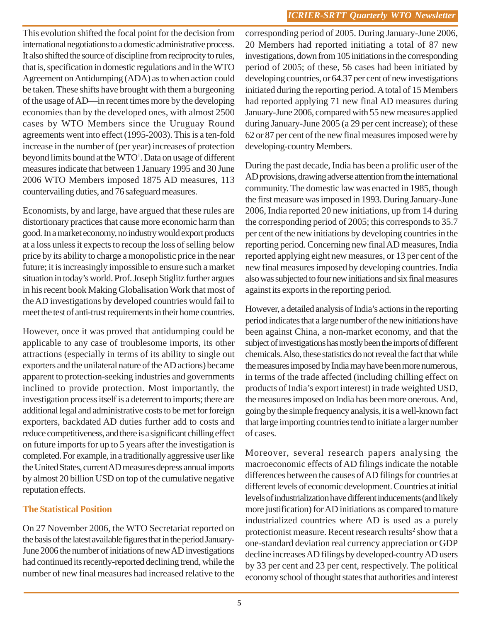This evolution shifted the focal point for the decision from international negotiations to a domestic administrative process. It also shifted the source of discipline from reciprocity to rules, that is, specification in domestic regulations and in the WTO Agreement on Antidumping (ADA) as to when action could be taken. These shifts have brought with them a burgeoning of the usage of AD—in recent times more by the developing economies than by the developed ones, with almost 2500 cases by WTO Members since the Uruguay Round agreements went into effect (1995-2003). This is a ten-fold increase in the number of (per year) increases of protection beyond limits bound at the WTO<sup>1</sup>. Data on usage of different measures indicate that between 1 January 1995 and 30 June 2006 WTO Members imposed 1875 AD measures, 113 countervailing duties, and 76 safeguard measures.

Economists, by and large, have argued that these rules are distortionary practices that cause more economic harm than good. In a market economy, no industry would export products at a loss unless it expects to recoup the loss of selling below price by its ability to charge a monopolistic price in the near future; it is increasingly impossible to ensure such a market situation in today's world. Prof. Joseph Stiglitz further argues in his recent book Making Globalisation Work that most of the AD investigations by developed countries would fail to meet the test of anti-trust requirements in their home countries.

However, once it was proved that antidumping could be applicable to any case of troublesome imports, its other attractions (especially in terms of its ability to single out exporters and the unilateral nature of the AD actions) became apparent to protection-seeking industries and governments inclined to provide protection. Most importantly, the investigation process itself is a deterrent to imports; there are additional legal and administrative costs to be met for foreign exporters, backdated AD duties further add to costs and reduce competitiveness, and there is a significant chilling effect on future imports for up to 5 years after the investigation is completed. For example, in a traditionally aggressive user like the United States, current AD measures depress annual imports by almost 20 billion USD on top of the cumulative negative reputation effects.

#### **The Statistical Position**

On 27 November 2006, the WTO Secretariat reported on the basis of the latest available figures that in the period January-June 2006 the number of initiations of new AD investigations had continued its recently-reported declining trend, while the number of new final measures had increased relative to the corresponding period of 2005. During January-June 2006, 20 Members had reported initiating a total of 87 new investigations, down from 105 initiations in the corresponding period of 2005; of these, 56 cases had been initiated by developing countries, or 64.37 per cent of new investigations initiated during the reporting period. A total of 15 Members had reported applying 71 new final AD measures during January-June 2006, compared with 55 new measures applied during January-June 2005 (a 29 per cent increase); of these 62 or 87 per cent of the new final measures imposed were by developing-country Members.

During the past decade, India has been a prolific user of the AD provisions, drawing adverse attention from the international community. The domestic law was enacted in 1985, though the first measure was imposed in 1993. During January-June 2006, India reported 20 new initiations, up from 14 during the corresponding period of 2005; this corresponds to 35.7 per cent of the new initiations by developing countries in the reporting period. Concerning new final AD measures, India reported applying eight new measures, or 13 per cent of the new final measures imposed by developing countries. India also was subjected to four new initiations and six final measures against its exports in the reporting period.

However, a detailed analysis of India's actions in the reporting period indicates that a large number of the new initiations have been against China, a non-market economy, and that the subject of investigations has mostly been the imports of different chemicals. Also, these statistics do not reveal the fact that while the measures imposed by India may have been more numerous, in terms of the trade affected (including chilling effect on products of India's export interest) in trade weighted USD, the measures imposed on India has been more onerous. And, going by the simple frequency analysis, it is a well-known fact that large importing countries tend to initiate a larger number of cases.

Moreover, several research papers analysing the macroeconomic effects of AD filings indicate the notable differences between the causes of AD filings for countries at different levels of economic development. Countries at initial levels of industrialization have different inducements (and likely more justification) for AD initiations as compared to mature industrialized countries where AD is used as a purely protectionist measure. Recent research results<sup>2</sup> show that a one-standard deviation real currency appreciation or GDP decline increases AD filings by developed-country AD users by 33 per cent and 23 per cent, respectively. The political economy school of thought states that authorities and interest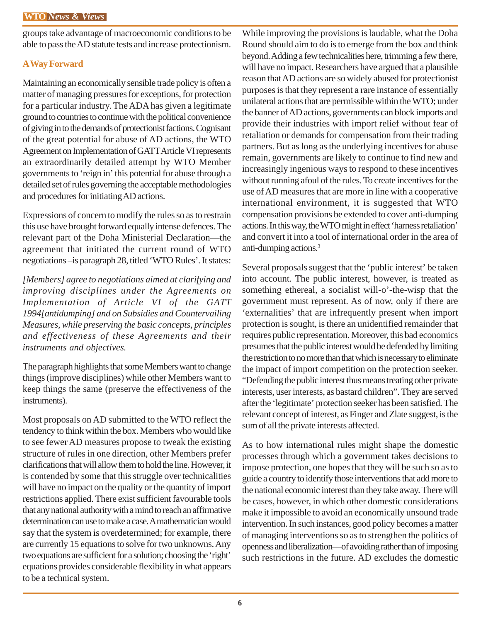groups take advantage of macroeconomic conditions to be able to pass the AD statute tests and increase protectionism.

#### **A Way Forward**

Maintaining an economically sensible trade policy is often a matter of managing pressures for exceptions, for protection for a particular industry. The ADA has given a legitimate ground to countries to continue with the political convenience of giving in to the demands of protectionist factions. Cognisant of the great potential for abuse of AD actions, the WTO Agreement on Implementation of GATT Article VI represents an extraordinarily detailed attempt by WTO Member governments to 'reign in' this potential for abuse through a detailed set of rules governing the acceptable methodologies and procedures for initiating AD actions.

Expressions of concern to modify the rules so as to restrain this use have brought forward equally intense defences. The relevant part of the Doha Ministerial Declaration—the agreement that initiated the current round of WTO negotiations –is paragraph 28, titled 'WTO Rules'. It states:

*[Members] agree to negotiations aimed at clarifying and improving disciplines under the Agreements on Implementation of Article VI of the GATT 1994[antidumping] and on Subsidies and Countervailing Measures, while preserving the basic concepts, principles and effectiveness of these Agreements and their instruments and objectives.*

The paragraph highlights that some Members want to change things (improve disciplines) while other Members want to keep things the same (preserve the effectiveness of the instruments).

Most proposals on AD submitted to the WTO reflect the tendency to think within the box. Members who would like to see fewer AD measures propose to tweak the existing structure of rules in one direction, other Members prefer clarifications that will allow them to hold the line. However, it is contended by some that this struggle over technicalities will have no impact on the quality or the quantity of import restrictions applied. There exist sufficient favourable tools that any national authority with a mind to reach an affirmative determination can use to make a case. A mathematician would say that the system is overdetermined; for example, there are currently 15 equations to solve for two unknowns. Any two equations are sufficient for a solution; choosing the 'right' equations provides considerable flexibility in what appears to be a technical system.

While improving the provisions is laudable, what the Doha Round should aim to do is to emerge from the box and think beyond. Adding a few technicalities here, trimming a few there, will have no impact. Researchers have argued that a plausible reason that AD actions are so widely abused for protectionist purposes is that they represent a rare instance of essentially unilateral actions that are permissible within the WTO; under the banner of AD actions, governments can block imports and provide their industries with import relief without fear of retaliation or demands for compensation from their trading partners. But as long as the underlying incentives for abuse remain, governments are likely to continue to find new and increasingly ingenious ways to respond to these incentives without running afoul of the rules. To create incentives for the use of AD measures that are more in line with a cooperative international environment, it is suggested that WTO compensation provisions be extended to cover anti-dumping actions. In this way, the WTO might in effect 'harness retaliation' and convert it into a tool of international order in the area of anti-dumping actions.3

Several proposals suggest that the 'public interest' be taken into account. The public interest, however, is treated as something ethereal, a socialist will-o'-the-wisp that the government must represent. As of now, only if there are 'externalities' that are infrequently present when import protection is sought, is there an unidentified remainder that requires public representation. Moreover, this bad economics presumes that the public interest would be defended by limiting the restriction to no more than that which is necessary to eliminate the impact of import competition on the protection seeker. "Defending the public interest thus means treating other private interests, user interests, as bastard children". They are served after the 'legitimate' protection seeker has been satisfied. The relevant concept of interest, as Finger and Zlate suggest, is the sum of all the private interests affected.

As to how international rules might shape the domestic processes through which a government takes decisions to impose protection, one hopes that they will be such so as to guide a country to identify those interventions that add more to the national economic interest than they take away. There will be cases, however, in which other domestic considerations make it impossible to avoid an economically unsound trade intervention. In such instances, good policy becomes a matter of managing interventions so as to strengthen the politics of openness and liberalization—of avoiding rather than of imposing such restrictions in the future. AD excludes the domestic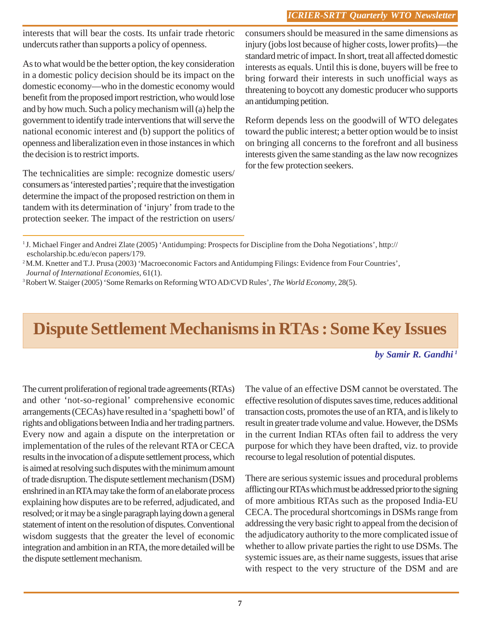interests that will bear the costs. Its unfair trade rhetoric undercuts rather than supports a policy of openness.

As to what would be the better option, the key consideration in a domestic policy decision should be its impact on the domestic economy—who in the domestic economy would benefit from the proposed import restriction, who would lose and by how much. Such a policy mechanism will (a) help the government to identify trade interventions that will serve the national economic interest and (b) support the politics of openness and liberalization even in those instances in which the decision is to restrict imports.

The technicalities are simple: recognize domestic users/ consumers as 'interested parties'; require that the investigation determine the impact of the proposed restriction on them in tandem with its determination of 'injury' from trade to the protection seeker. The impact of the restriction on users/ consumers should be measured in the same dimensions as injury (jobs lost because of higher costs, lower profits)—the standard metric of impact. In short, treat all affected domestic interests as equals. Until this is done, buyers will be free to bring forward their interests in such unofficial ways as threatening to boycott any domestic producer who supports an antidumping petition.

Reform depends less on the goodwill of WTO delegates toward the public interest; a better option would be to insist on bringing all concerns to the forefront and all business interests given the same standing as the law now recognizes for the few protection seekers.

## **Dispute Settlement Mechanisms in RTAs : Some Key Issues**

*by Samir R. Gandhi 1*

The current proliferation of regional trade agreements (RTAs) and other 'not-so-regional' comprehensive economic arrangements (CECAs) have resulted in a 'spaghetti bowl' of rights and obligations between India and her trading partners. Every now and again a dispute on the interpretation or implementation of the rules of the relevant RTA or CECA results in the invocation of a dispute settlement process, which is aimed at resolving such disputes with the minimum amount of trade disruption. The dispute settlement mechanism (DSM) enshrined in an RTA may take the form of an elaborate process explaining how disputes are to be referred, adjudicated, and resolved; or it may be a single paragraph laying down a general statement of intent on the resolution of disputes. Conventional wisdom suggests that the greater the level of economic integration and ambition in an RTA, the more detailed will be the dispute settlement mechanism.

The value of an effective DSM cannot be overstated. The effective resolution of disputes saves time, reduces additional transaction costs, promotes the use of an RTA, and is likely to result in greater trade volume and value. However, the DSMs in the current Indian RTAs often fail to address the very purpose for which they have been drafted, viz. to provide recourse to legal resolution of potential disputes.

There are serious systemic issues and procedural problems afflicting our RTAs which must be addressed prior to the signing of more ambitious RTAs such as the proposed India-EU CECA. The procedural shortcomings in DSMs range from addressing the very basic right to appeal from the decision of the adjudicatory authority to the more complicated issue of whether to allow private parties the right to use DSMs. The systemic issues are, as their name suggests, issues that arise with respect to the very structure of the DSM and are

<sup>1</sup> J. Michael Finger and Andrei Zlate (2005) 'Antidumping: Prospects for Discipline from the Doha Negotiations', http:// escholarship.bc.edu/econ papers/179.

<sup>&</sup>lt;sup>2</sup> M.M. Knetter and T.J. Prusa (2003) 'Macroeconomic Factors and Antidumping Filings: Evidence from Four Countries',  *Journal of International Economies,* 61(1).

<sup>3</sup> Robert W. Staiger (2005) 'Some Remarks on Reforming WTO AD/CVD Rules', *The World Economy*, 28(5).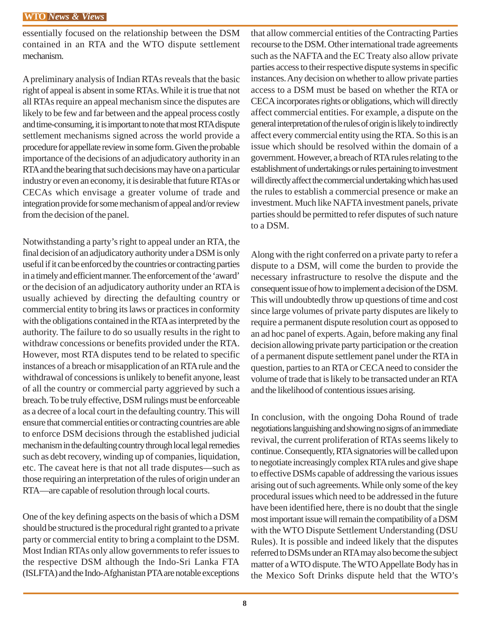essentially focused on the relationship between the DSM contained in an RTA and the WTO dispute settlement mechanism.

A preliminary analysis of Indian RTAs reveals that the basic right of appeal is absent in some RTAs. While it is true that not all RTAs require an appeal mechanism since the disputes are likely to be few and far between and the appeal process costly and time-consuming, it is important to note that most RTA dispute settlement mechanisms signed across the world provide a procedure for appellate review in some form. Given the probable importance of the decisions of an adjudicatory authority in an RTA and the bearing that such decisions may have on a particular industry or even an economy, it is desirable that future RTAs or CECAs which envisage a greater volume of trade and integration provide for some mechanism of appeal and/or review from the decision of the panel.

Notwithstanding a party's right to appeal under an RTA, the final decision of an adjudicatory authority under a DSM is only useful if it can be enforced by the countries or contracting parties in a timely and efficient manner. The enforcement of the 'award' or the decision of an adjudicatory authority under an RTA is usually achieved by directing the defaulting country or commercial entity to bring its laws or practices in conformity with the obligations contained in the RTA as interpreted by the authority. The failure to do so usually results in the right to withdraw concessions or benefits provided under the RTA. However, most RTA disputes tend to be related to specific instances of a breach or misapplication of an RTA rule and the withdrawal of concessions is unlikely to benefit anyone, least of all the country or commercial party aggrieved by such a breach. To be truly effective, DSM rulings must be enforceable as a decree of a local court in the defaulting country. This will ensure that commercial entities or contracting countries are able to enforce DSM decisions through the established judicial mechanism in the defaulting country through local legal remedies such as debt recovery, winding up of companies, liquidation, etc. The caveat here is that not all trade disputes—such as those requiring an interpretation of the rules of origin under an RTA—are capable of resolution through local courts.

One of the key defining aspects on the basis of which a DSM should be structured is the procedural right granted to a private party or commercial entity to bring a complaint to the DSM. Most Indian RTAs only allow governments to refer issues to the respective DSM although the Indo-Sri Lanka FTA (ISLFTA) and the Indo-Afghanistan PTA are notable exceptions

that allow commercial entities of the Contracting Parties recourse to the DSM. Other international trade agreements such as the NAFTA and the EC Treaty also allow private parties access to their respective dispute systems in specific instances. Any decision on whether to allow private parties access to a DSM must be based on whether the RTA or CECA incorporates rights or obligations, which will directly affect commercial entities. For example, a dispute on the general interpretation of the rules of origin is likely to indirectly affect every commercial entity using the RTA. So this is an issue which should be resolved within the domain of a government. However, a breach of RTA rules relating to the establishment of undertakings or rules pertaining to investment will directly affect the commercial undertaking which has used the rules to establish a commercial presence or make an investment. Much like NAFTA investment panels, private parties should be permitted to refer disputes of such nature to a DSM.

Along with the right conferred on a private party to refer a dispute to a DSM, will come the burden to provide the necessary infrastructure to resolve the dispute and the consequent issue of how to implement a decision of the DSM. This will undoubtedly throw up questions of time and cost since large volumes of private party disputes are likely to require a permanent dispute resolution court as opposed to an ad hoc panel of experts. Again, before making any final decision allowing private party participation or the creation of a permanent dispute settlement panel under the RTA in question, parties to an RTA or CECA need to consider the volume of trade that is likely to be transacted under an RTA and the likelihood of contentious issues arising.

In conclusion, with the ongoing Doha Round of trade negotiations languishing and showing no signs of an immediate revival, the current proliferation of RTAs seems likely to continue. Consequently, RTA signatories will be called upon to negotiate increasingly complex RTA rules and give shape to effective DSMs capable of addressing the various issues arising out of such agreements. While only some of the key procedural issues which need to be addressed in the future have been identified here, there is no doubt that the single most important issue will remain the compatibility of a DSM with the WTO Dispute Settlement Understanding (DSU Rules). It is possible and indeed likely that the disputes referred to DSMs under an RTA may also become the subject matter of a WTO dispute. The WTO Appellate Body has in the Mexico Soft Drinks dispute held that the WTO's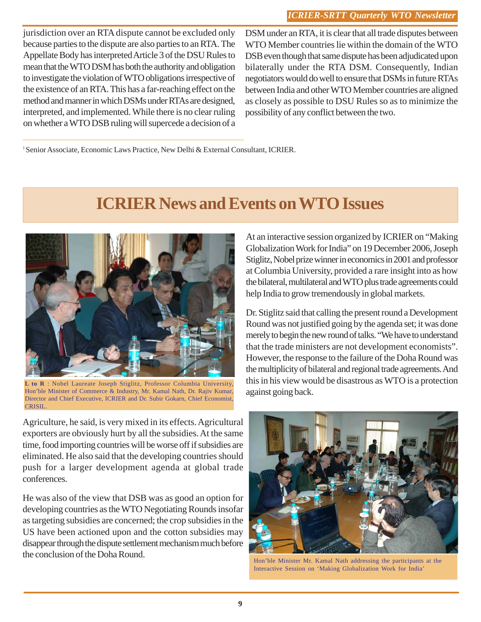jurisdiction over an RTA dispute cannot be excluded only because parties to the dispute are also parties to an RTA. The Appellate Body has interpreted Article 3 of the DSU Rules to mean that the WTO DSM has both the authority and obligation to investigate the violation of WTO obligations irrespective of the existence of an RTA. This has a far-reaching effect on the method and manner in which DSMs under RTAs are designed, interpreted, and implemented. While there is no clear ruling on whether a WTO DSB ruling will supercede a decision of a DSM under an RTA, it is clear that all trade disputes between WTO Member countries lie within the domain of the WTO DSB even though that same dispute has been adjudicated upon bilaterally under the RTA DSM. Consequently, Indian negotiators would do well to ensure that DSMs in future RTAs between India and other WTO Member countries are aligned as closely as possible to DSU Rules so as to minimize the possibility of any conflict between the two.

1 Senior Associate, Economic Laws Practice, New Delhi & External Consultant, ICRIER.

## **ICRIER News and Events on WTO Issues**



**L to R** : Nobel Laureate Joseph Stiglitz, Professor Columbia University, Hon'ble Minister of Commerce & Industry, Mr. Kamal Nath, Dr. Rajiv Kumar, Director and Chief Executive, ICRIER and Dr. Subir Gokarn, Chief Economist, CRISIL.

Agriculture, he said, is very mixed in its effects. Agricultural exporters are obviously hurt by all the subsidies. At the same time, food importing countries will be worse off if subsidies are eliminated. He also said that the developing countries should push for a larger development agenda at global trade conferences.

He was also of the view that DSB was as good an option for developing countries as the WTO Negotiating Rounds insofar as targeting subsidies are concerned; the crop subsidies in the US have been actioned upon and the cotton subsidies may disappear through the dispute settlement mechanism much before the conclusion of the Doha Round.

At an interactive session organized by ICRIER on "Making Globalization Work for India" on 19 December 2006, Joseph Stiglitz, Nobel prize winner in economics in 2001 and professor at Columbia University, provided a rare insight into as how the bilateral, multilateral and WTO plus trade agreements could help India to grow tremendously in global markets.

Dr. Stiglitz said that calling the present round a Development Round was not justified going by the agenda set; it was done merely to begin the new round of talks. "We have to understand that the trade ministers are not development economists". However, the response to the failure of the Doha Round was the multiplicity of bilateral and regional trade agreements. And this in his view would be disastrous as WTO is a protection against going back.



Hon'ble Minister Mr. Kamal Nath addressing the participants at the Interactive Session on 'Making Globalization Work for India'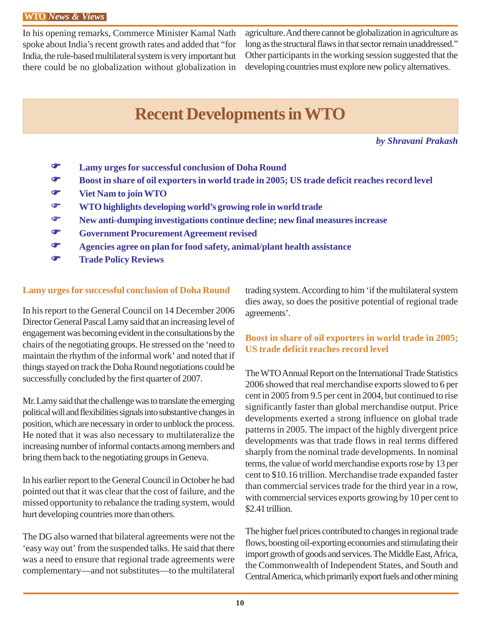In his opening remarks, Commerce Minister Kamal Nath spoke about India's recent growth rates and added that "for India, the rule-based multilateral system is very important but there could be no globalization without globalization in

agriculture. And there cannot be globalization in agriculture as long as the structural flaws in that sector remain unaddressed." Other participants in the working session suggested that the developing countries must explore new policy alternatives.

# **Recent Developments in WTO**

*by Shravani Prakash*

- ) **Lamy urges for successful conclusion of Doha Round**
- ) **Boost in share of oil exporters in world trade in 2005; US trade deficit reaches record level**
- ) **Viet Nam to join WTO**
- ) **WTO highlights developing world's growing role in world trade**
- ) **New anti-dumping investigations continue decline; new final measures increase**
- ) **Government Procurement Agreement revised**
- ) **Agencies agree on plan for food safety, animal/plant health assistance**
- ) **Trade Policy Reviews**

#### **Lamy urges for successful conclusion of Doha Round**

In his report to the General Council on 14 December 2006 Director General Pascal Lamy said that an increasing level of engagement was becoming evident in the consultations by the chairs of the negotiating groups. He stressed on the 'need to maintain the rhythm of the informal work' and noted that if things stayed on track the Doha Round negotiations could be successfully concluded by the first quarter of 2007.

Mr. Lamy said that the challenge was to translate the emerging political will and flexibilities signals into substantive changes in position, which are necessary in order to unblock the process. He noted that it was also necessary to multilateralize the increasing number of informal contacts among members and bring them back to the negotiating groups in Geneva.

In his earlier report to the General Council in October he had pointed out that it was clear that the cost of failure, and the missed opportunity to rebalance the trading system, would hurt developing countries more than others.

The DG also warned that bilateral agreements were not the 'easy way out' from the suspended talks. He said that there was a need to ensure that regional trade agreements were complementary—and not substitutes—to the multilateral trading system. According to him 'if the multilateral system dies away, so does the positive potential of regional trade agreements'.

#### **Boost in share of oil exporters in world trade in 2005; US trade deficit reaches record level**

The WTO Annual Report on the International Trade Statistics 2006 showed that real merchandise exports slowed to 6 per cent in 2005 from 9.5 per cent in 2004, but continued to rise significantly faster than global merchandise output. Price developments exerted a strong influence on global trade patterns in 2005. The impact of the highly divergent price developments was that trade flows in real terms differed sharply from the nominal trade developments. In nominal terms, the value of world merchandise exports rose by 13 per cent to \$10.16 trillion. Merchandise trade expanded faster than commercial services trade for the third year in a row, with commercial services exports growing by 10 per cent to \$2.41 trillion.

The higher fuel prices contributed to changes in regional trade flows, boosting oil-exporting economies and stimulating their import growth of goods and services. The Middle East, Africa, the Commonwealth of Independent States, and South and Central America, which primarily export fuels and other mining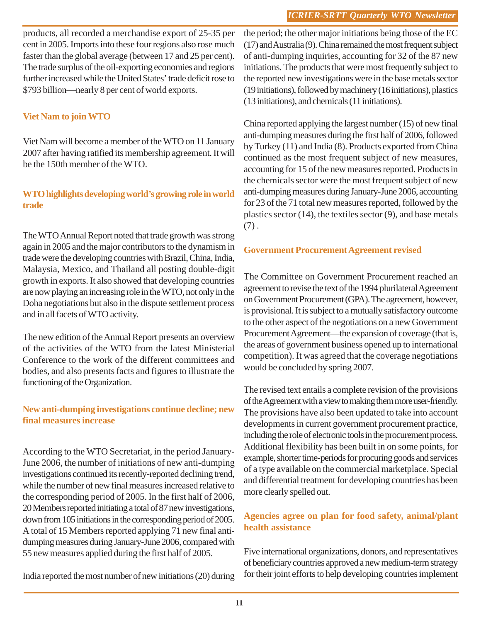products, all recorded a merchandise export of 25-35 per cent in 2005. Imports into these four regions also rose much faster than the global average (between 17 and 25 per cent). The trade surplus of the oil-exporting economies and regions further increased while the United States' trade deficit rose to \$793 billion—nearly 8 per cent of world exports.

### **Viet Nam to join WTO**

Viet Nam will become a member of the WTO on 11 January 2007 after having ratified its membership agreement. It will be the 150th member of the WTO.

#### **WTO highlights developing world's growing role in world trade**

The WTO Annual Report noted that trade growth was strong again in 2005 and the major contributors to the dynamism in trade were the developing countries with Brazil, China, India, Malaysia, Mexico, and Thailand all posting double-digit growth in exports. It also showed that developing countries are now playing an increasing role in the WTO, not only in the Doha negotiations but also in the dispute settlement process and in all facets of WTO activity.

The new edition of the Annual Report presents an overview of the activities of the WTO from the latest Ministerial Conference to the work of the different committees and bodies, and also presents facts and figures to illustrate the functioning of the Organization.

#### **New anti-dumping investigations continue decline; new final measures increase**

According to the WTO Secretariat, in the period January-June 2006, the number of initiations of new anti-dumping investigations continued its recently-reported declining trend, while the number of new final measures increased relative to the corresponding period of 2005. In the first half of 2006, 20 Members reported initiating a total of 87 new investigations, down from 105 initiations in the corresponding period of 2005. A total of 15 Members reported applying 71 new final antidumping measures during January-June 2006, compared with 55 new measures applied during the first half of 2005.

India reported the most number of new initiations (20) during

the period; the other major initiations being those of the EC (17) and Australia (9). China remained the most frequent subject of anti-dumping inquiries, accounting for 32 of the 87 new initiations. The products that were most frequently subject to the reported new investigations were in the base metals sector (19 initiations), followed by machinery (16 initiations), plastics (13 initiations), and chemicals (11 initiations).

China reported applying the largest number (15) of new final anti-dumping measures during the first half of 2006, followed by Turkey (11) and India (8). Products exported from China continued as the most frequent subject of new measures, accounting for 15 of the new measures reported. Products in the chemicals sector were the most frequent subject of new anti-dumping measures during January-June 2006, accounting for 23 of the 71 total new measures reported, followed by the plastics sector (14), the textiles sector (9), and base metals  $(7).$ 

#### **Government Procurement Agreement revised**

The Committee on Government Procurement reached an agreement to revise the text of the 1994 plurilateral Agreement on Government Procurement (GPA). The agreement, however, is provisional. It is subject to a mutually satisfactory outcome to the other aspect of the negotiations on a new Government Procurement Agreement—the expansion of coverage (that is, the areas of government business opened up to international competition). It was agreed that the coverage negotiations would be concluded by spring 2007.

The revised text entails a complete revision of the provisions of the Agreement with a view to making them more user-friendly. The provisions have also been updated to take into account developments in current government procurement practice, including the role of electronic tools in the procurement process. Additional flexibility has been built in on some points, for example, shorter time-periods for procuring goods and services of a type available on the commercial marketplace. Special and differential treatment for developing countries has been more clearly spelled out.

#### **Agencies agree on plan for food safety, animal/plant health assistance**

Five international organizations, donors, and representatives of beneficiary countries approved a new medium-term strategy for their joint efforts to help developing countries implement